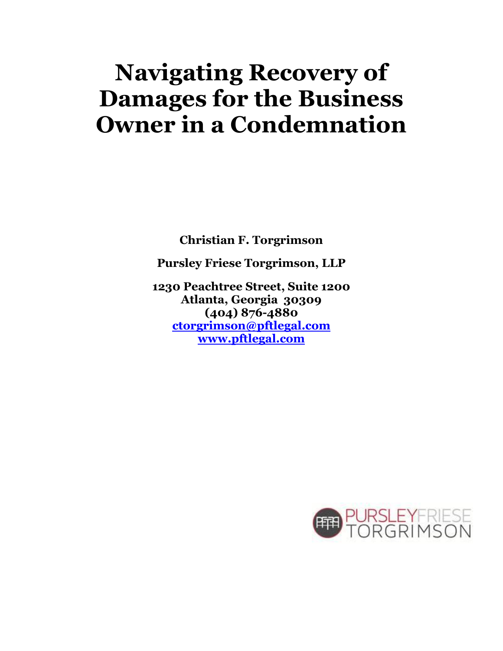# **Navigating Recovery of Damages for the Business Owner in a Condemnation**

**Christian F. Torgrimson**

**Pursley Friese Torgrimson, LLP**

**1230 Peachtree Street, Suite 1200 Atlanta, Georgia 30309 (404) 876-4880 [ctorgrimson@pftlegal.com](mailto:ctorgrimson@pftlegal.com) [www.pftlegal.com](http://www.pftlegal.com/)**

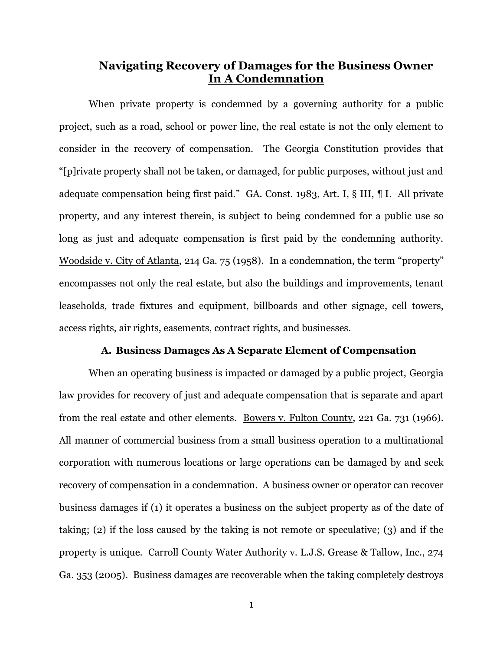# **Navigating Recovery of Damages for the Business Owner In A Condemnation**

When private property is condemned by a governing authority for a public project, such as a road, school or power line, the real estate is not the only element to consider in the recovery of compensation. The Georgia Constitution provides that "[p]rivate property shall not be taken, or damaged, for public purposes, without just and adequate compensation being first paid." GA. Const. 1983, Art. I, § III, ¶ I. All private property, and any interest therein, is subject to being condemned for a public use so long as just and adequate compensation is first paid by the condemning authority. Woodside v. City of Atlanta, 214 Ga. 75 (1958). In a condemnation, the term "property" encompasses not only the real estate, but also the buildings and improvements, tenant leaseholds, trade fixtures and equipment, billboards and other signage, cell towers, access rights, air rights, easements, contract rights, and businesses.

#### **A. Business Damages As A Separate Element of Compensation**

When an operating business is impacted or damaged by a public project, Georgia law provides for recovery of just and adequate compensation that is separate and apart from the real estate and other elements. Bowers v. Fulton County, 221 Ga. 731 (1966). All manner of commercial business from a small business operation to a multinational corporation with numerous locations or large operations can be damaged by and seek recovery of compensation in a condemnation. A business owner or operator can recover business damages if (1) it operates a business on the subject property as of the date of taking; (2) if the loss caused by the taking is not remote or speculative; (3) and if the property is unique. Carroll County Water Authority v. L.J.S. Grease & Tallow, Inc., 274 Ga. 353 (2005). Business damages are recoverable when the taking completely destroys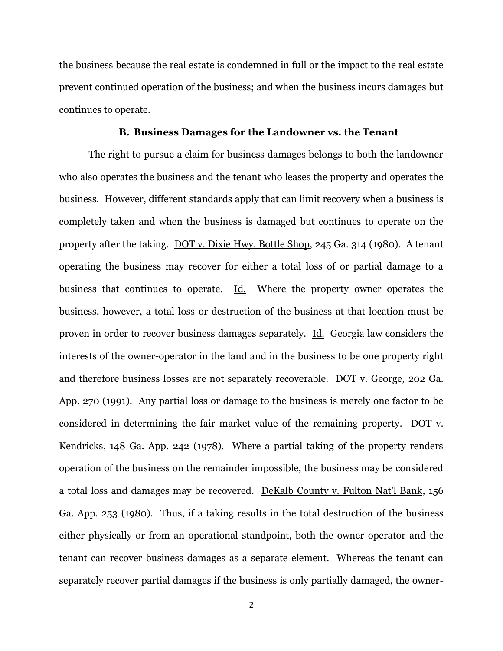the business because the real estate is condemned in full or the impact to the real estate prevent continued operation of the business; and when the business incurs damages but continues to operate.

# **B. Business Damages for the Landowner vs. the Tenant**

The right to pursue a claim for business damages belongs to both the landowner who also operates the business and the tenant who leases the property and operates the business. However, different standards apply that can limit recovery when a business is completely taken and when the business is damaged but continues to operate on the property after the taking. DOT v. Dixie Hwy. Bottle Shop, 245 Ga. 314 (1980). A tenant operating the business may recover for either a total loss of or partial damage to a business that continues to operate. Id. Where the property owner operates the business, however, a total loss or destruction of the business at that location must be proven in order to recover business damages separately. Id. Georgia law considers the interests of the owner-operator in the land and in the business to be one property right and therefore business losses are not separately recoverable. DOT v. George, 202 Ga. App. 270 (1991). Any partial loss or damage to the business is merely one factor to be considered in determining the fair market value of the remaining property. DOT v. Kendricks, 148 Ga. App. 242 (1978). Where a partial taking of the property renders operation of the business on the remainder impossible, the business may be considered a total loss and damages may be recovered. DeKalb County v. Fulton Nat'l Bank, 156 Ga. App. 253 (1980). Thus, if a taking results in the total destruction of the business either physically or from an operational standpoint, both the owner-operator and the tenant can recover business damages as a separate element. Whereas the tenant can separately recover partial damages if the business is only partially damaged, the owner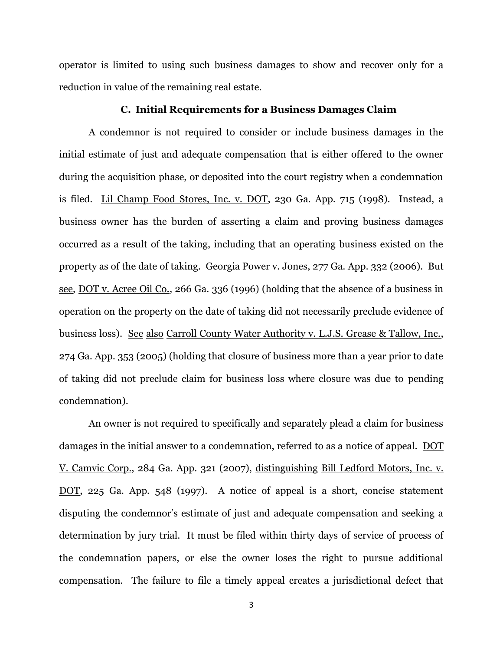operator is limited to using such business damages to show and recover only for a reduction in value of the remaining real estate.

## **C. Initial Requirements for a Business Damages Claim**

A condemnor is not required to consider or include business damages in the initial estimate of just and adequate compensation that is either offered to the owner during the acquisition phase, or deposited into the court registry when a condemnation is filed. Lil Champ Food Stores, Inc. v. DOT, 230 Ga. App. 715 (1998). Instead, a business owner has the burden of asserting a claim and proving business damages occurred as a result of the taking, including that an operating business existed on the property as of the date of taking. Georgia Power v. Jones, 277 Ga. App. 332 (2006). But see, DOT v. Acree Oil Co., 266 Ga. 336 (1996) (holding that the absence of a business in operation on the property on the date of taking did not necessarily preclude evidence of business loss). See also Carroll County Water Authority v. L.J.S. Grease & Tallow, Inc., 274 Ga. App. 353 (2005) (holding that closure of business more than a year prior to date of taking did not preclude claim for business loss where closure was due to pending condemnation).

An owner is not required to specifically and separately plead a claim for business damages in the initial answer to a condemnation, referred to as a notice of appeal. DOT V. Camvic Corp., 284 Ga. App. 321 (2007), distinguishing Bill Ledford Motors, Inc. v. DOT, 225 Ga. App. 548 (1997). A notice of appeal is a short, concise statement disputing the condemnor's estimate of just and adequate compensation and seeking a determination by jury trial. It must be filed within thirty days of service of process of the condemnation papers, or else the owner loses the right to pursue additional compensation. The failure to file a timely appeal creates a jurisdictional defect that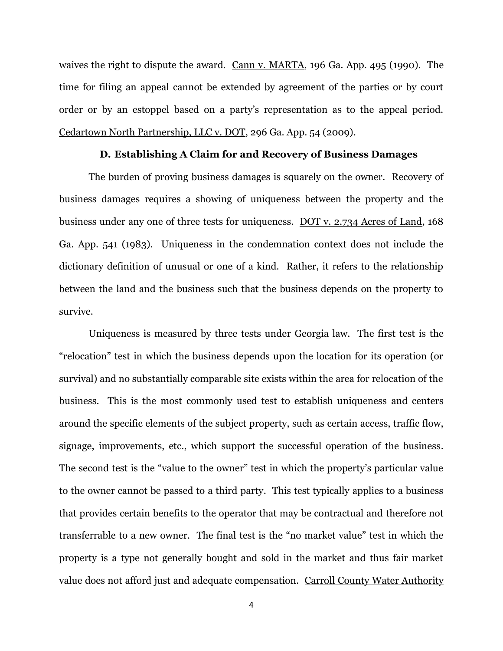waives the right to dispute the award. Cann v. MARTA, 196 Ga. App. 495 (1990). The time for filing an appeal cannot be extended by agreement of the parties or by court order or by an estoppel based on a party's representation as to the appeal period. Cedartown North Partnership, LLC v. DOT, 296 Ga. App. 54 (2009).

### **D. Establishing A Claim for and Recovery of Business Damages**

The burden of proving business damages is squarely on the owner. Recovery of business damages requires a showing of uniqueness between the property and the business under any one of three tests for uniqueness. DOT v. 2.734 Acres of Land, 168 Ga. App. 541 (1983). Uniqueness in the condemnation context does not include the dictionary definition of unusual or one of a kind. Rather, it refers to the relationship between the land and the business such that the business depends on the property to survive.

Uniqueness is measured by three tests under Georgia law. The first test is the "relocation" test in which the business depends upon the location for its operation (or survival) and no substantially comparable site exists within the area for relocation of the business. This is the most commonly used test to establish uniqueness and centers around the specific elements of the subject property, such as certain access, traffic flow, signage, improvements, etc., which support the successful operation of the business. The second test is the "value to the owner" test in which the property's particular value to the owner cannot be passed to a third party. This test typically applies to a business that provides certain benefits to the operator that may be contractual and therefore not transferrable to a new owner. The final test is the "no market value" test in which the property is a type not generally bought and sold in the market and thus fair market value does not afford just and adequate compensation. Carroll County Water Authority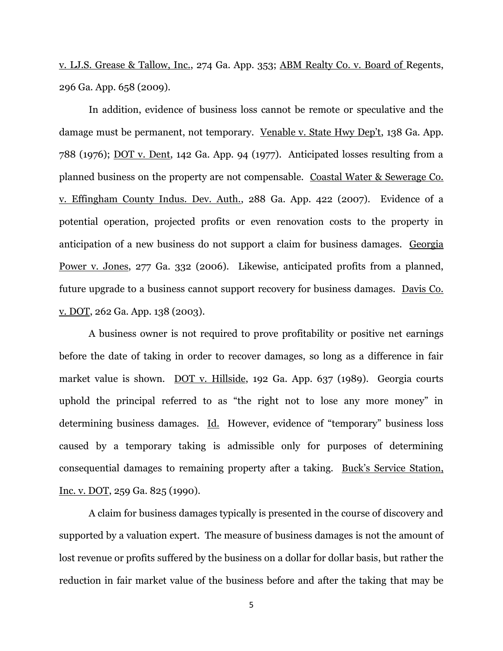v. LJ.S. Grease & Tallow, Inc., 274 Ga. App. 353; ABM Realty Co. v. Board of Regents, 296 Ga. App. 658 (2009).

In addition, evidence of business loss cannot be remote or speculative and the damage must be permanent, not temporary. Venable v. State Hwy Dep't, 138 Ga. App. 788 (1976); DOT v. Dent, 142 Ga. App. 94 (1977). Anticipated losses resulting from a planned business on the property are not compensable. Coastal Water & Sewerage Co. v. Effingham County Indus. Dev. Auth., 288 Ga. App. 422 (2007). Evidence of a potential operation, projected profits or even renovation costs to the property in anticipation of a new business do not support a claim for business damages. Georgia Power v. Jones, 277 Ga. 332 (2006). Likewise, anticipated profits from a planned, future upgrade to a business cannot support recovery for business damages. Davis Co. v. DOT, 262 Ga. App. 138 (2003).

A business owner is not required to prove profitability or positive net earnings before the date of taking in order to recover damages, so long as a difference in fair market value is shown. DOT v. Hillside, 192 Ga. App. 637 (1989). Georgia courts uphold the principal referred to as "the right not to lose any more money" in determining business damages. Id. However, evidence of "temporary" business loss caused by a temporary taking is admissible only for purposes of determining consequential damages to remaining property after a taking. Buck's Service Station, Inc. v. DOT, 259 Ga. 825 (1990).

A claim for business damages typically is presented in the course of discovery and supported by a valuation expert. The measure of business damages is not the amount of lost revenue or profits suffered by the business on a dollar for dollar basis, but rather the reduction in fair market value of the business before and after the taking that may be